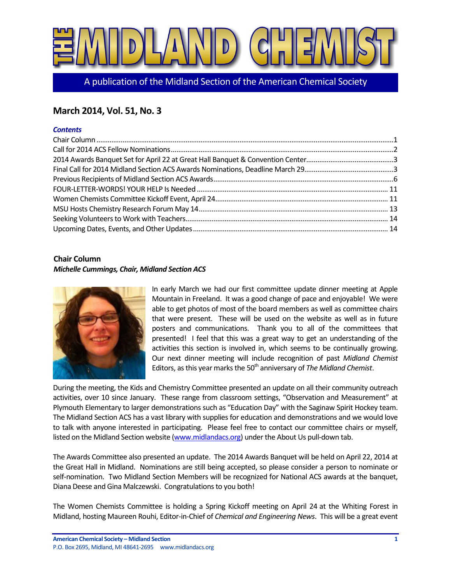

A publication of the Midland Section of the American Chemical Society

## **March 2014, Vol. 51, No. 3**

## *Contents*

## <span id="page-0-0"></span>**Chair Column** *Michelle Cummings, Chair, Midland Section ACS*



In early March we had our first committee update dinner meeting at Apple Mountain in Freeland. It was a good change of pace and enjoyable! We were able to get photos of most of the board members as well as committee chairs that were present. These will be used on the website as well as in future posters and communications. Thank you to all of the committees that presented! I feel that this was a great way to get an understanding of the activities this section is involved in, which seems to be continually growing. Our next dinner meeting will include recognition of past *Midland Chemist* Editors, as this year marks the 50<sup>th</sup> anniversary of *The Midland Chemist*.

During the meeting, the Kids and Chemistry Committee presented an update on all their community outreach activities, over 10 since January. These range from classroom settings, "Observation and Measurement" at Plymouth Elementary to larger demonstrations such as "Education Day" with the Saginaw Spirit Hockey team. The Midland Section ACS has a vast library with supplies for education and demonstrations and we would love to talk with anyone interested in participating. Please feel free to contact our committee chairs or myself, listed on the Midland Section website [\(www.midlandacs.org\)](http://www.midlandacs.org/) under the About Us pull-down tab.

The Awards Committee also presented an update. The 2014 Awards Banquet will be held on April 22, 2014 at the Great Hall in Midland. Nominations are still being accepted, so please consider a person to nominate or self-nomination. Two Midland Section Members will be recognized for National ACS awards at the banquet, Diana Deese and Gina Malczewski. Congratulations to you both!

The Women Chemists Committee is holding a Spring Kickoff meeting on April 24 at the Whiting Forest in Midland, hosting Maureen Rouhi, Editor-in-Chief of *Chemical and Engineering News*. This will be a great event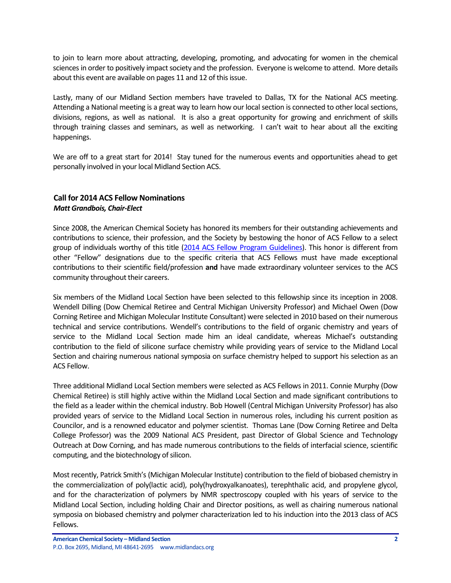to join to learn more about attracting, developing, promoting, and advocating for women in the chemical sciences in order to positively impact society and the profession. Everyone is welcome to attend. More details about this event are available on pages 11 and 12 of this issue.

Lastly, many of our Midland Section members have traveled to Dallas, TX for the National ACS meeting. Attending a National meeting is a great way to learn how our local section is connected to other local sections, divisions, regions, as well as national. It is also a great opportunity for growing and enrichment of skills through training classes and seminars, as well as networking. I can't wait to hear about all the exciting happenings.

We are off to a great start for 2014! Stay tuned for the numerous events and opportunities ahead to get personally involved in your local Midland Section ACS.

## <span id="page-1-0"></span>**Call for 2014 ACS Fellow Nominations** *Matt Grandbois, Chair-Elect*

Since 2008, the American Chemical Society has honored its members for their outstanding achievements and contributions to science, their profession, and the Society by bestowing the honor of ACS Fellow to a select group of individuals worthy of this title [\(2014 ACS Fellow Program Guidelines\)](http://www.acs.org/content/dam/acsorg/funding/fellows/ACS%20Fellows%20Program%20Guidelines_2014.pdf). This honor is different from other "Fellow" designations due to the specific criteria that ACS Fellows must have made exceptional contributions to their scientific field/profession **and** have made extraordinary volunteer services to the ACS community throughout their careers.

Six members of the Midland Local Section have been selected to this fellowship since its inception in 2008. Wendell Dilling (Dow Chemical Retiree and Central Michigan University Professor) and Michael Owen (Dow Corning Retiree and Michigan Molecular Institute Consultant) were selected in 2010 based on their numerous technical and service contributions. Wendell's contributions to the field of organic chemistry and years of service to the Midland Local Section made him an ideal candidate, whereas Michael's outstanding contribution to the field of silicone surface chemistry while providing years of service to the Midland Local Section and chairing numerous national symposia on surface chemistry helped to support his selection as an ACS Fellow.

Three additional Midland Local Section members were selected as ACS Fellows in 2011. Connie Murphy (Dow Chemical Retiree) is still highly active within the Midland Local Section and made significant contributions to the field as a leader within the chemical industry. Bob Howell (Central Michigan University Professor) has also provided years of service to the Midland Local Section in numerous roles, including his current position as Councilor, and is a renowned educator and polymer scientist. Thomas Lane (Dow Corning Retiree and Delta College Professor) was the 2009 National ACS President, past Director of Global Science and Technology Outreach at Dow Corning, and has made numerous contributions to the fields of interfacial science, scientific computing, and the biotechnology of silicon.

Most recently, Patrick Smith's (Michigan Molecular Institute) contribution to the field of biobased chemistry in the commercialization of poly(lactic acid), poly(hydroxyalkanoates), terephthalic acid, and propylene glycol, and for the characterization of polymers by NMR spectroscopy coupled with his years of service to the Midland Local Section, including holding Chair and Director positions, as well as chairing numerous national symposia on biobased chemistry and polymer characterization led to his induction into the 2013 class of ACS Fellows.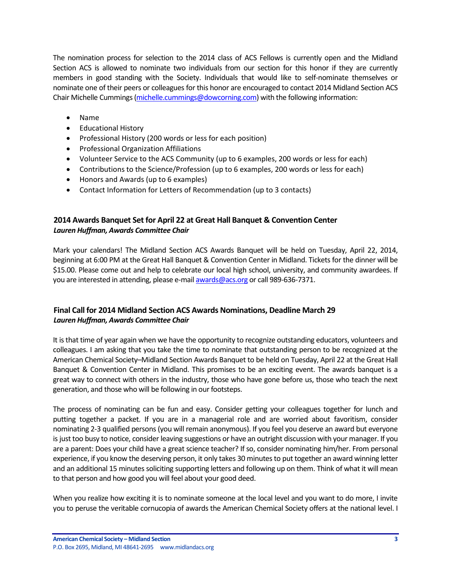The nomination process for selection to the 2014 class of ACS Fellows is currently open and the Midland Section ACS is allowed to nominate two individuals from our section for this honor if they are currently members in good standing with the Society. Individuals that would like to self-nominate themselves or nominate one of their peers or colleagues for this honor are encouraged to contact 2014 Midland Section ACS Chair Michelle Cummings [\(michelle.cummings@dowcorning.com\)](mailto:michelle.cummings@dowcorning.com) with the following information:

- Name
- Educational History
- Professional History (200 words or less for each position)
- Professional Organization Affiliations
- Volunteer Service to the ACS Community (up to 6 examples, 200 words or less for each)
- Contributions to the Science/Profession (up to 6 examples, 200 words or less for each)
- Honors and Awards (up to 6 examples)
- Contact Information for Letters of Recommendation (up to 3 contacts)

## <span id="page-2-0"></span>**2014 Awards Banquet Set for April 22 at Great Hall Banquet & Convention Center** *Lauren Huffman, Awards Committee Chair*

Mark your calendars! The Midland Section ACS Awards Banquet will be held on Tuesday, April 22, 2014, beginning at 6:00 PM at the Great Hall Banquet & Convention Center in Midland. Tickets for the dinner will be \$15.00. Please come out and help to celebrate our local high school, university, and community awardees. If you are interested in attending, please e-mail [awards@acs.org](mailto:awards@acs.org) or call 989-636-7371.

## <span id="page-2-1"></span>**Final Call for 2014 Midland Section ACS Awards Nominations, Deadline March 29** *Lauren Huffman, Awards Committee Chair*

It is that time of year again when we have the opportunity to recognize outstanding educators, volunteers and colleagues. I am asking that you take the time to nominate that outstanding person to be recognized at the American Chemical Society–Midland Section Awards Banquet to be held on Tuesday, April 22 at the Great Hall Banquet & Convention Center in Midland. This promises to be an exciting event. The awards banquet is a great way to connect with others in the industry, those who have gone before us, those who teach the next generation, and those who will be following in our footsteps.

The process of nominating can be fun and easy. Consider getting your colleagues together for lunch and putting together a packet. If you are in a managerial role and are worried about favoritism, consider nominating 2-3 qualified persons (you will remain anonymous). If you feel you deserve an award but everyone is just too busy to notice, consider leaving suggestions or have an outright discussion with your manager. If you are a parent: Does your child have a great science teacher? If so, consider nominating him/her. From personal experience, if you know the deserving person, it only takes 30 minutes to put together an award winning letter and an additional 15 minutes soliciting supporting letters and following up on them. Think of what it will mean to that person and how good you will feel about your good deed.

When you realize how exciting it is to nominate someone at the local level and you want to do more, I invite you to peruse the veritable cornucopia of awards the American Chemical Society offers at the national level. I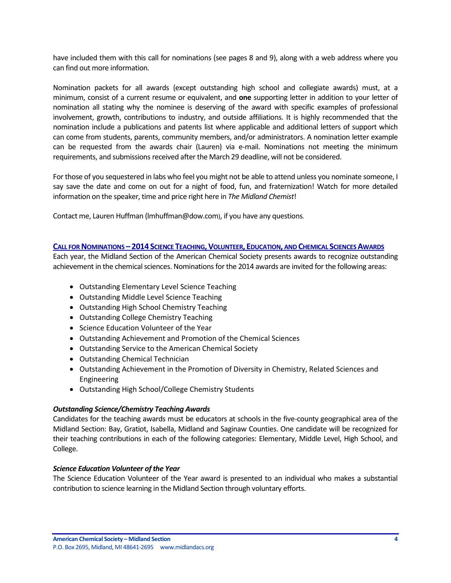have included them with this call for nominations (see pages 8 and 9), along with a web address where you can find out more information.

Nomination packets for all awards (except outstanding high school and collegiate awards) must, at a minimum, consist of a current resume or equivalent, and **one** supporting letter in addition to your letter of nomination all stating why the nominee is deserving of the award with specific examples of professional involvement, growth, contributions to industry, and outside affiliations. It is highly recommended that the nomination include a publications and patents list where applicable and additional letters of support which can come from students, parents, community members, and/or administrators. A nomination letter example can be requested from the awards chair (Lauren) via e-mail. Nominations not meeting the minimum requirements, and submissions received after the March 29 deadline, will not be considered.

For those of you sequestered in labs who feel you might not be able to attend unless you nominate someone, I say save the date and come on out for a night of food, fun, and fraternization! Watch for more detailed information on the speaker, time and price right here in *The Midland Chemist*!

Contact me, Lauren Huffman (lmhuffman@dow.com), if you have any questions.

## **CALL FOR NOMINATIONS - 2014 SCIENCE TEACHING, VOLUNTEER, EDUCATION, AND CHEMICAL SCIENCES AWARDS**

Each year, the Midland Section of the American Chemical Society presents awards to recognize outstanding achievement in the chemical sciences. Nominations for the 2014 awards are invited for the following areas:

- Outstanding Elementary Level Science Teaching
- Outstanding Middle Level Science Teaching
- Outstanding High School Chemistry Teaching
- Outstanding College Chemistry Teaching
- Science Education Volunteer of the Year
- Outstanding Achievement and Promotion of the Chemical Sciences
- Outstanding Service to the American Chemical Society
- Outstanding Chemical Technician
- Outstanding Achievement in the Promotion of Diversity in Chemistry, Related Sciences and Engineering
- Outstanding High School/College Chemistry Students

## *Outstanding Science/Chemistry Teaching Awards*

Candidates for the teaching awards must be educators at schools in the five-county geographical area of the Midland Section: Bay, Gratiot, Isabella, Midland and Saginaw Counties. One candidate will be recognized for their teaching contributions in each of the following categories: Elementary, Middle Level, High School, and College.

## *Science Education Volunteer of the Year*

The Science Education Volunteer of the Year award is presented to an individual who makes a substantial contribution to science learning in the Midland Section through voluntary efforts.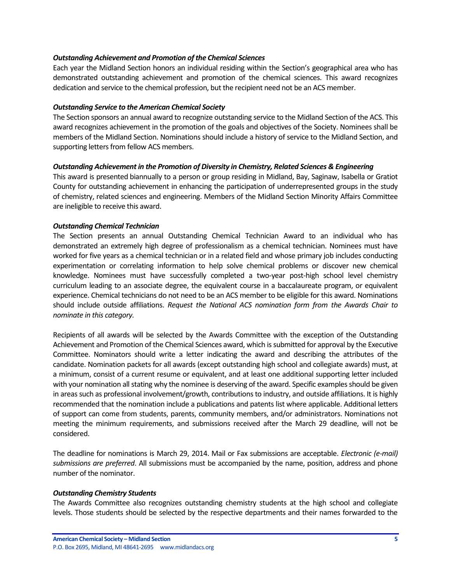### *Outstanding Achievement and Promotion of the Chemical Sciences*

Each year the Midland Section honors an individual residing within the Section's geographical area who has demonstrated outstanding achievement and promotion of the chemical sciences. This award recognizes dedication and service to the chemical profession, but the recipient need not be an ACS member.

#### *Outstanding Service to the American Chemical Society*

The Section sponsors an annual award to recognize outstanding service to the Midland Section of the ACS. This award recognizes achievement in the promotion of the goals and objectives of the Society. Nominees shall be members of the Midland Section. Nominations should include a history of service to the Midland Section, and supporting letters from fellow ACS members.

#### *Outstanding Achievement in the Promotion of Diversity in Chemistry, Related Sciences & Engineering*

This award is presented biannually to a person or group residing in Midland, Bay, Saginaw, Isabella or Gratiot County for outstanding achievement in enhancing the participation of underrepresented groups in the study of chemistry, related sciences and engineering. Members of the Midland Section Minority Affairs Committee are ineligible to receive this award.

#### *Outstanding Chemical Technician*

The Section presents an annual Outstanding Chemical Technician Award to an individual who has demonstrated an extremely high degree of professionalism as a chemical technician. Nominees must have worked for five years as a chemical technician or in a related field and whose primary job includes conducting experimentation or correlating information to help solve chemical problems or discover new chemical knowledge. Nominees must have successfully completed a two-year post-high school level chemistry curriculum leading to an associate degree, the equivalent course in a baccalaureate program, or equivalent experience. Chemical technicians do not need to be an ACS member to be eligible for this award. Nominations should include outside affiliations. *Request the National ACS nomination form from the Awards Chair to nominate in this category.*

Recipients of all awards will be selected by the Awards Committee with the exception of the Outstanding Achievement and Promotion of the Chemical Sciences award, which is submitted for approval by the Executive Committee. Nominators should write a letter indicating the award and describing the attributes of the candidate. Nomination packets for all awards (except outstanding high school and collegiate awards) must, at a minimum, consist of a current resume or equivalent, and at least one additional supporting letter included with your nomination all stating why the nominee is deserving of the award. Specific examples should be given in areas such as professional involvement/growth, contributions to industry, and outside affiliations. It is highly recommended that the nomination include a publications and patents list where applicable. Additional letters of support can come from students, parents, community members, and/or administrators. Nominations not meeting the minimum requirements, and submissions received after the March 29 deadline, will not be considered.

The deadline for nominations is March 29, 2014. Mail or Fax submissions are acceptable. *Electronic (e-mail) submissions are preferred*. All submissions must be accompanied by the name, position, address and phone number of the nominator.

#### *Outstanding Chemistry Students*

The Awards Committee also recognizes outstanding chemistry students at the high school and collegiate levels. Those students should be selected by the respective departments and their names forwarded to the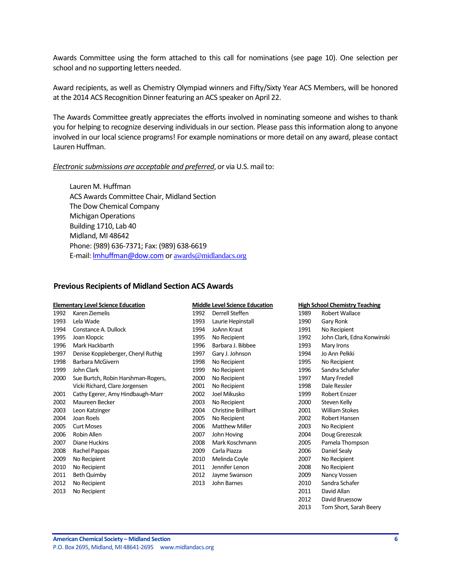Awards Committee using the form attached to this call for nominations (see page 10). One selection per school and no supporting letters needed.

Award recipients, as well as Chemistry Olympiad winners and Fifty/Sixty Year ACS Members, will be honored at the 2014 ACS Recognition Dinner featuring an ACS speaker on April 22.

The Awards Committee greatly appreciates the efforts involved in nominating someone and wishes to thank you for helping to recognize deserving individuals in our section. Please pass this information along to anyone involved in our local science programs! For example nominations or more detail on any award, please contact Lauren Huffman.

#### *Electronic submissions are acceptable and preferred*, or via U.S. mail to:

Lauren M. Huffman ACS Awards Committee Chair, Midland Section The Dow Chemical Company Michigan Operations Building 1710, Lab 40 Midland, MI 48642 Phone: (989) 636-7371; Fax: (989) 638-6619 E-mail: [lmhuffman@dow.com](mailto:lmhuffman@dow.com) or [awards@midlandacs.org](mailto:awards@midlandacs.org)

#### <span id="page-5-0"></span>**Previous Recipients of Midland Section ACS Awards**

|      | <b>Elementary Level Science Education</b> |      | <b>Middle Level Science Education</b> |      | <b>High School Chemistry Teaching</b> |
|------|-------------------------------------------|------|---------------------------------------|------|---------------------------------------|
| 1992 | Karen Ziemelis                            | 1992 | Derrell Steffen                       | 1989 | Robert Wallace                        |
| 1993 | Lela Wade                                 | 1993 | Laurie Hepinstall                     | 1990 | Gary Ronk                             |
| 1994 | Constance A. Dullock                      | 1994 | <b>JoAnn Kraut</b>                    | 1991 | No Recipient                          |
| 1995 | Joan Klopcic                              | 1995 | No Recipient                          | 1992 | John Clark, Edna Konwinski            |
| 1996 | Mark Hackbarth                            | 1996 | Barbara J. Bibbee                     | 1993 | Mary Irons                            |
| 1997 | Denise Koppleberger, Cheryl Ruthig        | 1997 | Gary J. Johnson                       | 1994 | Jo Ann Pelkki                         |
| 1998 | Barbara McGivern                          | 1998 | No Recipient                          | 1995 | No Recipient                          |
| 1999 | John Clark                                | 1999 | No Recipient                          | 1996 | Sandra Schafer                        |
| 2000 | Sue Burtch, Robin Harshman-Rogers,        | 2000 | No Recipient                          | 1997 | Mary Fredell                          |
|      | Vicki Richard, Clare Jorgensen            | 2001 | No Recipient                          | 1998 | Dale Ressler                          |
| 2001 | Cathy Egerer, Amy Hindbaugh-Marr          | 2002 | Joel Mikusko                          | 1999 | <b>Robert Enszer</b>                  |
| 2002 | Maureen Becker                            | 2003 | No Recipient                          | 2000 | Steven Kelly                          |
| 2003 | Leon Katzinger                            | 2004 | <b>Christine Brillhart</b>            | 2001 | <b>William Stokes</b>                 |
| 2004 | Joan Roels                                | 2005 | No Recipient                          | 2002 | Robert Hansen                         |
| 2005 | <b>Curt Moses</b>                         | 2006 | <b>Matthew Miller</b>                 | 2003 | No Recipient                          |
| 2006 | Robin Allen                               | 2007 | John Hoving                           | 2004 | Doug Grezeszak                        |
| 2007 | Diane Huckins                             | 2008 | Mark Koschmann                        | 2005 | Pamela Thompson                       |
| 2008 | Rachel Pappas                             | 2009 | Carla Piazza                          | 2006 | Daniel Sealy                          |
| 2009 | No Recipient                              | 2010 | Melinda Coyle                         | 2007 | No Recipient                          |
| 2010 | No Recipient                              | 2011 | Jennifer Lenon                        | 2008 | No Recipient                          |
| 2011 | <b>Beth Quimby</b>                        | 2012 | Jayme Swanson                         | 2009 | Nancy Vossen                          |
| 2012 | No Recipient                              | 2013 | John Barnes                           | 2010 | Sandra Schafer                        |
| 2013 | No Recipient                              |      |                                       | 2011 | David Allan                           |
|      |                                           |      |                                       | 2012 | David Bruessow                        |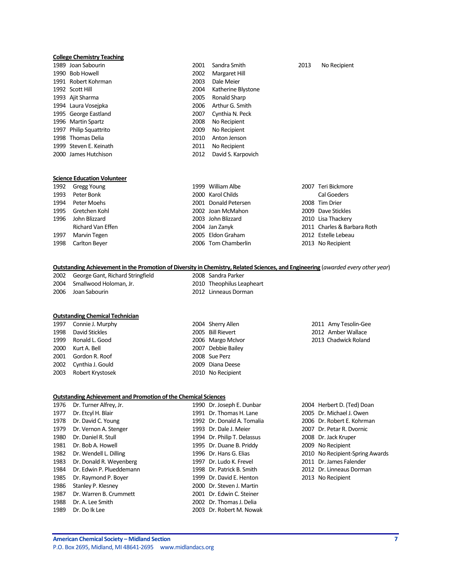#### **College Chemistry Teaching**

| 1989 Joan Sabourin     |
|------------------------|
| 1990 Bob Howell        |
| 1991 Robert Kohrman    |
| 1992 Scott Hill        |
| 1993 Ajit Sharma       |
| 1994 Laura Vosejpka    |
| 1995 George Eastland   |
| 1996 Martin Spartz     |
| 1997 Philip Squattrito |
| 1998 Thomas Delia      |
| 1999 Steven E. Keinath |
| 2000 James Hutchison   |
|                        |

**Science Education Volunteer**

2002 Margaret Hill 2003 Dale Meier 2004 Katherine Blystone 2005 Ronald Sharp 2006 Arthur G. Smith 2007 Cynthia N. Peck 2008 No Recipient 2009 No Recipient 2010 Anton Jenson 2011 No Recipient 2012 David S. Karpovich

#### 2001 Sandra Smith 2013 No Recipient

|      | 1992 Gregg Young   | 1999 William Albe    | 2007 Teri Bickmore          |
|------|--------------------|----------------------|-----------------------------|
| 1993 | Peter Bonk         | 2000 Karol Childs    | <b>Cal Goeders</b>          |
| 1994 | Peter Moehs        | 2001 Donald Petersen | 2008 Tim Drier              |
| 1995 | Gretchen Kohl      | 2002 Joan McMahon    | 2009 Dave Stickles          |
| 1996 | John Blizzard      | 2003 John Blizzard   | 2010 Lisa Thackery          |
|      | Richard Van Effen  | 2004 Jan Zanyk       | 2011 Charles & Barbara Roth |
| 1997 | Marvin Tegen       | 2005 Eldon Graham    | 2012 Estelle Lebeau         |
|      | 1998 Carlton Bever | 2006 Tom Chamberlin  | 2013 No Recipient           |

#### **Outstanding Achievement in the Promotion of Diversity in Chemistry, Related Sciences, and Engineering** (*awarded every other year*)

2002 George Gant, Richard Stringfield 2008 Sandra Parker 2004 Smallwood Holoman, Jr. 2010 Theophilus Leapheart

2006 Joan Sabourin 2012 Linneaus Dorman

#### **Outstanding Chemical Technician**

|      | 1997 Connie J. Murphy | 2004 Sherry Allen  | $\overline{2}$ |
|------|-----------------------|--------------------|----------------|
|      | 1998 David Stickles   | 2005 Bill Rievert  | $\overline{2}$ |
|      | 1999 Ronald L. Good   | 2006 Margo McIvor  | $\overline{2}$ |
| 2000 | Kurt A. Bell          | 2007 Debbie Bailey |                |
|      | 2001 Gordon R. Roof   | 2008 Sue Perz      |                |
|      | 2002 Cynthia J. Gould | 2009 Diana Deese   |                |
|      | 2003 Robert Krystosek | 2010 No Recipient  |                |

#### 2011 Amy Tesolin-Gee 2012 Amber Wallace 2013 Chadwick Roland

#### **Outstanding Achievement and Promotion of the Chemical Sciences**

1997 Marvin Tegen 2005 Eldon Graham 1998 Carlton Beyer 2006 Tom Chamberlin

| 1976 | Dr. Turner Alfrey, Jr.   | 1990 Dr. Joseph E. Dunbar   | 2004 Herbert D. (Ted) Doan      |
|------|--------------------------|-----------------------------|---------------------------------|
| 1977 | Dr. Etcyl H. Blair       | 1991 Dr. Thomas H. Lane     | 2005 Dr. Michael J. Owen        |
| 1978 | Dr. David C. Young       | 1992 Dr. Donald A. Tomalia  | 2006 Dr. Robert E. Kohrman      |
| 1979 | Dr. Vernon A. Stenger    | 1993 Dr. Dale J. Meier      | 2007 Dr. Petar R. Dvornic       |
| 1980 | Dr. Daniel R. Stull      | 1994 Dr. Philip T. Delassus | 2008 Dr. Jack Kruper            |
| 1981 | Dr. Bob A. Howell        | 1995 Dr. Duane B. Priddy    | 2009 No Recipient               |
| 1982 | Dr. Wendell L. Dilling   | 1996 Dr. Hans G. Elias      | 2010 No Recipient-Spring Awards |
| 1983 | Dr. Donald R. Weyenberg  | 1997 Dr. Ludo K. Frevel     | 2011 Dr. James Falender         |
| 1984 | Dr. Edwin P. Plueddemann | 1998 Dr. Patrick B. Smith   | 2012 Dr. Linneaus Dorman        |
| 1985 | Dr. Raymond P. Boyer     | 1999 Dr. David E. Henton    | 2013 No Recipient               |
| 1986 | Stanley P. Klesney       | 2000 Dr. Steven J. Martin   |                                 |
| 1987 | Dr. Warren B. Crummett   | 2001 Dr. Edwin C. Steiner   |                                 |
| 1988 | Dr. A. Lee Smith         | 2002 Dr. Thomas J. Delia    |                                 |
| 1989 | Dr. Do Ik Lee            | 2003 Dr. Robert M. Nowak    |                                 |

| 2004 Herbert D. (Ted) Doan      |
|---------------------------------|
| 2005 Dr. Michael J. Owen        |
| 2006 Dr. Robert E. Kohrman      |
| 2007 Dr. Petar R. Dvornic       |
| 2008 Dr. Jack Kruper            |
| 2009 No Recipient               |
| 2010 No Recipient-Spring Awards |
| 2011 Dr. James Falender         |
| 2012 Dr. Linneaus Dorman        |
| 2013 No Recipient               |
|                                 |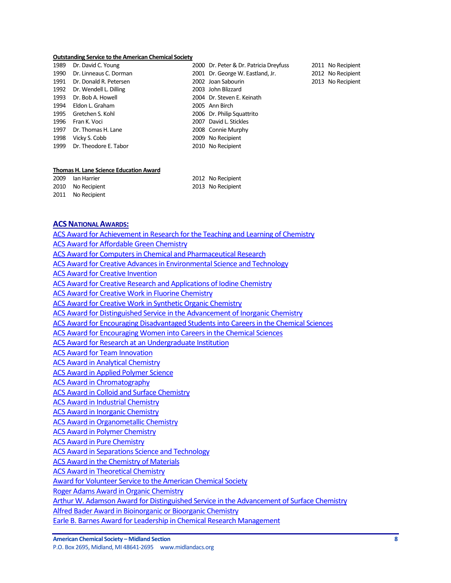#### **Outstanding Service to the American Chemical Society**

| 1989 | Dr. David C. Young          | 2000 Dr. Peter & Dr. Patricia Dreyfuss |  |
|------|-----------------------------|----------------------------------------|--|
|      | 1990 Dr. Linneaus C. Dorman | 2001 Dr. George W. Eastland, Jr.       |  |
|      | 1991 Dr. Donald R. Petersen | 2002 Joan Sabourin                     |  |
|      | 1992 Dr. Wendell L. Dilling | 2003 John Blizzard                     |  |
|      | 1993 Dr. Bob A. Howell      | 2004 Dr. Steven E. Keinath             |  |
|      | 1994 Eldon L. Graham        | 2005 Ann Birch                         |  |
|      | 1995 Gretchen S. Kohl       | 2006 Dr. Philip Squattrito             |  |
| 1996 | Fran K. Voci                | 2007 David L. Stickles                 |  |
| 1997 | Dr. Thomas H. Lane          | 2008 Connie Murphy                     |  |
| 1998 | Vicky S. Cobb               | 2009 No Recipient                      |  |
|      | 1999 Dr. Theodore E. Tabor  | 2010 No Recipient                      |  |

2011 No Recipient 2012 No Recipient

2013 No Recipient

#### **Thomas H. Lane Science Education Award**

| 2009 Ian Harrier  | 2012 No Recipient |
|-------------------|-------------------|
| 2010 No Recipient | 2013 No Recipient |
| 2011 No Recipient |                   |

#### **ACSNATIONAL AWARDS:**

[ACS Award for Achievement in Research for the Teaching and Learning of Chemistry](http://portal.acs.org/portal/PublicWebSite/funding/awards/national/bytopic/CTP_004484) [ACS Award for Affordable Green Chemistry](http://portal.acs.org/portal/PublicWebSite/funding/awards/national/bytopic/CTP_004487) [ACS Award for Computers in Chemical and Pharmaceutical Research](http://portal.acs.org/portal/PublicWebSite/funding/awards/national/bytopic/CTP_004503) [ACS Award for Creative Advances in Environmental Science and Technology](http://portal.acs.org/portal/PublicWebSite/funding/awards/national/bytopic/CTP_004504) [ACS Award for Creative Invention](http://portal.acs.org/portal/PublicWebSite/funding/awards/national/bytopic/CTP_004506) [ACS Award for Creative Research and Applications of Iodine Chemistry](https://wcmscontrib.acs.org/PublicWebSite/funding/awards/national/bytopic/CTP_004507) [ACS Award for Creative Work in Fluorine Chemistry](http://portal.acs.org/portal/PublicWebSite/funding/awards/national/bytopic/CTP_004505) [ACS Award for Creative Work in Synthetic Organic Chemistry](http://portal.acs.org/portal/PublicWebSite/funding/awards/national/bytopic/CTP_004508) [ACS Award for Distinguished Service in the Advancement of Inorganic Chemistry](http://portal.acs.org/portal/PublicWebSite/funding/awards/national/bytopic/CTP_004486) [ACS Award for Encouraging Disadvantaged Students into Careers in the Chemical Sciences](http://portal.acs.org/portal/PublicWebSite/funding/awards/national/bytopic/CTP_004509) [ACS Award for Encouraging Women into Careers in the Chemical Sciences](http://portal.acs.org/portal/PublicWebSite/funding/awards/national/bytopic/CTP_004517) [ACS Award for Research at an Undergraduate Institution](http://portal.acs.org/portal/PublicWebSite/funding/awards/national/bytopic/CTP_004549) [ACS Award for Team Innovation](http://portal.acs.org/portal/PublicWebSite/funding/awards/national/bytopic/CTP_004554) [ACS Award in Analytical Chemistry](http://portal.acs.org/portal/PublicWebSite/funding/awards/national/bytopic/CTP_004492) [ACS Award in Applied Polymer Science](http://portal.acs.org/portal/PublicWebSite/funding/awards/national/bytopic/CTP_004493) [ACS Award in Chromatography](http://portal.acs.org/portal/PublicWebSite/funding/awards/national/bytopic/CTP_004500) [ACS Award in Colloid and Surface Chemistry](http://portal.acs.org/portal/PublicWebSite/funding/awards/national/bytopic/CTP_004502) [ACS Award in Industrial Chemistry](http://portal.acs.org/portal/PublicWebSite/funding/awards/national/bytopic/CTP_004531) [ACS Award in Inorganic Chemistry](http://portal.acs.org/portal/PublicWebSite/funding/awards/national/bytopic/CTP_004532) [ACS Award in Organometallic Chemistry](http://portal.acs.org/portal/PublicWebSite/funding/awards/national/bytopic/CTP_004542) [ACS Award in Polymer Chemistry](http://portal.acs.org/portal/PublicWebSite/funding/awards/national/bytopic/CTP_004544) [ACS Award in Pure Chemistry](http://portal.acs.org/portal/PublicWebSite/funding/awards/national/bytopic/CTP_004546) [ACS Award in Separations Science and Technology](http://portal.acs.org/portal/PublicWebSite/funding/awards/national/bytopic/CTP_004552) [ACS Award in the Chemistry of Materials](http://portal.acs.org/portal/PublicWebSite/funding/awards/national/bytopic/CTP_004499) [ACS Award in Theoretical Chemistry](http://portal.acs.org/portal/PublicWebSite/funding/awards/national/bytopic/CTP_004555) [Award for Volunteer Service to the American Chemical Society](http://portal.acs.org/portal/PublicWebSite/funding/awards/national/bytopic/CTP_004556) [Roger Adams Award in Organic Chemistry](https://wcmscontrib.acs.org/PublicWebSite/funding/awards/national/bytopic/CTP_004550) [Arthur W. Adamson Award for Distinguished Service in the Advancement of Surface Chemistry](http://portal.acs.org/portal/PublicWebSite/funding/awards/national/bytopic/CTP_004494) [Alfred Bader Award in Bioinorganic or Bioorganic Chemistry](http://portal.acs.org/portal/PublicWebSite/funding/awards/national/bytopic/CTP_004490) [Earle B. Barnes Award for Leadership in Chemical Research Management](http://portal.acs.org/portal/PublicWebSite/funding/awards/national/bytopic/CTP_004512)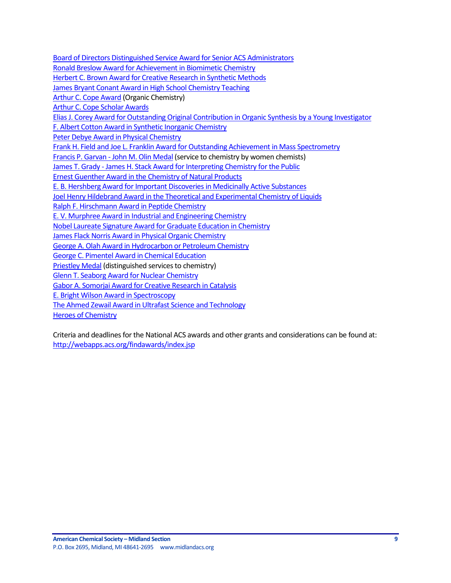[Board of Directors Distinguished Service Award for Senior ACS Administrators](http://portal.acs.org/portal/PublicWebSite/funding/awards/national/bytopic/CTP_004497) Ronald [Breslow Award for Achievement in Biomimetic Chemistry](http://portal.acs.org/portal/PublicWebSite/funding/awards/national/bytopic/CTP_004551) [Herbert C. Brown Award for Creative Research in Synthetic Methods](http://portal.acs.org/portal/PublicWebSite/funding/awards/national/bytopic/CTP_004530) [James Bryant Conant Award in High School Chemistry Teaching](http://portal.acs.org/portal/PublicWebSite/funding/awards/national/bytopic/CTP_004535) [Arthur C. Cope Award](http://portal.acs.org/portal/PublicWebSite/funding/awards/national/bytopic/CTP_004495) (Organic Chemistry) [Arthur C. Cope Scholar Awards](http://portal.acs.org/portal/PublicWebSite/funding/awards/national/bytopic/CTP_004496) [Elias J. Corey Award for Outstanding Original Contribution in Organic Synthesis by a Young Investigator](http://portal.acs.org/portal/PublicWebSite/funding/awards/national/bytopic/CTP_004516) [F. Albert Cotton Award in Synthetic Inorganic Chemistry](http://portal.acs.org/portal/PublicWebSite/funding/awards/national/bytopic/CTP_004489) [Peter Debye Award in Physical Chemistry](http://portal.acs.org/portal/PublicWebSite/funding/awards/national/bytopic/CTP_004543) [Frank H. Field and Joe L. Franklin Award for Outstanding Achievement in Mass Spectrometry](http://portal.acs.org/portal/PublicWebSite/funding/awards/national/bytopic/CTP_004522) Francis P. Garvan - [John M. Olin Medal](http://portal.acs.org/portal/PublicWebSite/funding/awards/national/bytopic/CTP_004521) (service to chemistry by women chemists) James T. Grady - [James H. Stack Award for Interpreting Chemistry for the Public](http://portal.acs.org/portal/PublicWebSite/funding/awards/national/bytopic/CTP_004537) [Ernest Guenther Award in the Chemistry of Natural Products](http://portal.acs.org/portal/PublicWebSite/funding/awards/national/bytopic/CTP_004519) [E. B. Hershberg Award for Important Discoveries in Medicinally Active Substances](https://wcmscontrib.acs.org/PublicWebSite/funding/awards/national/bytopic/CTP_004515) [Joel Henry Hildebrand Award in the Theoretical and Experimental Chemistry of Liquids](http://portal.acs.org/portal/PublicWebSite/funding/awards/national/bytopic/CTP_004539) [Ralph F. Hirschmann Award in Peptide Chemistry](http://portal.acs.org/portal/PublicWebSite/funding/awards/national/bytopic/CTP_004547) [E. V. Murphree Award in Industrial and Engineering Chemistry](http://portal.acs.org/portal/PublicWebSite/funding/awards/national/bytopic/CTP_004520) [Nobel Laureate Signature Award for Graduate Education in Chemistry](http://portal.acs.org/portal/PublicWebSite/funding/awards/national/bytopic/CTP_004541) [James Flack Norris Award in Physical Organic Chemistry](http://portal.acs.org/portal/PublicWebSite/funding/awards/national/bytopic/CTP_004536) [George A. Olah Award in Hydrocarbon or Petroleum Chemistry](http://portal.acs.org/portal/PublicWebSite/funding/awards/national/bytopic/CTP_004526) [George C. Pimentel Award in Chemical Education](http://portal.acs.org/portal/PublicWebSite/funding/awards/national/bytopic/CTP_004528) [Priestley Medal](http://portal.acs.org/portal/PublicWebSite/funding/awards/national/bytopic/CTP_004545) (distinguished services to chemistry) [Glenn T. Seaborg Award for Nuclear Chemistry](http://portal.acs.org/portal/PublicWebSite/funding/awards/national/bytopic/CTP_004529) [Gabor A. Somorjai Award for Creative Research in Catalysis](http://portal.acs.org/portal/PublicWebSite/funding/awards/national/bytopic/CTP_004525) [E. Bright Wilson Award in Spectroscopy](http://portal.acs.org/portal/PublicWebSite/funding/awards/national/bytopic/CTP_004511) [The Ahmed Zewail Award in Ultrafast Science and Technology](http://portal.acs.org/portal/PublicWebSite/funding/awards/national/bytopic/CTP_004488) [Heroes of Chemistry](http://www.acs.org/content/acs/en/funding-and-awards/awards/industry/heroes.html)

Criteria and deadlines for the National ACS awards and other grants and considerations can be found at: <http://webapps.acs.org/findawards/index.jsp>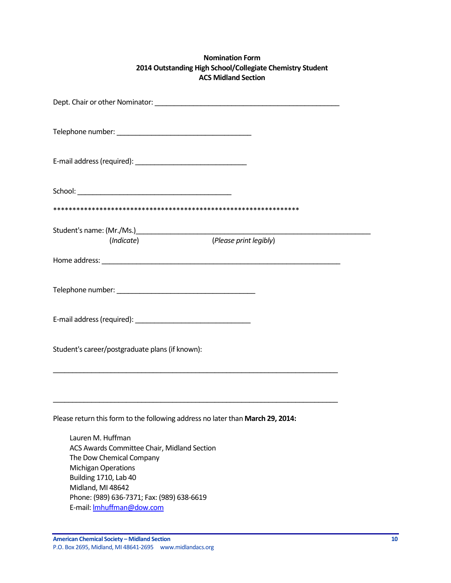## **Nomination Form 2014 Outstanding High School/Collegiate Chemistry Student ACS Midland Section**

| (Indicate)                                                                                                                                                               | (Please print legibly) |
|--------------------------------------------------------------------------------------------------------------------------------------------------------------------------|------------------------|
|                                                                                                                                                                          |                        |
|                                                                                                                                                                          |                        |
|                                                                                                                                                                          |                        |
| Student's career/postgraduate plans (if known):                                                                                                                          |                        |
|                                                                                                                                                                          |                        |
| Please return this form to the following address no later than March 29, 2014:                                                                                           |                        |
| Lauren M. Huffman<br>ACS Awards Committee Chair, Midland Section<br>The Dow Chemical Company<br><b>Michigan Operations</b><br>Building 1710, Lab 40<br>Midland, MI 48642 |                        |
| Phone: (989) 636-7371; Fax: (989) 638-6619<br>E-mail: <b>Imhuffman@dow.com</b>                                                                                           |                        |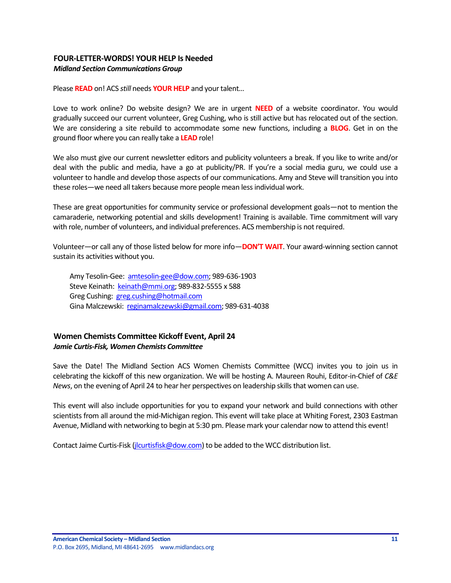## <span id="page-10-0"></span>**FOUR-LETTER-WORDS! YOUR HELP Is Needed** *Midland Section Communications Group*

Please **READ** on! ACS *still* needs **YOUR HELP** and your talent…

Love to work online? Do website design? We are in urgent **NEED** of a website coordinator. You would gradually succeed our current volunteer, Greg Cushing, who is still active but has relocated out of the section. We are considering a site rebuild to accommodate some new functions, including a **BLOG**. Get in on the ground floor where you can really take a **LEAD** role!

We also must give our current newsletter editors and publicity volunteers a break. If you like to write and/or deal with the public and media, have a go at publicity/PR. If you're a social media guru, we could use a volunteer to handle and develop those aspects of our communications. Amy and Steve will transition you into these roles—we need all takers because more people mean less individual work.

These are great opportunities for community service or professional development goals—not to mention the camaraderie, networking potential and skills development! Training is available. Time commitment will vary with role, number of volunteers, and individual preferences. ACS membership is not required.

Volunteer—or call any of those listed below for more info—**DON'T WAIT**. Your award-winning section cannot sustain its activities without you.

Amy Tesolin-Gee: [amtesolin-gee@dow.com;](mailto:amtesolin-gee@dow.com) 989-636-1903 Steve Keinath: [keinath@mmi.org;](mailto:keinath@mmi.org) 989-832-5555 x 588 Greg Cushing: [greg.cushing@hotmail.com](mailto:greg.cushing@hotmail.com) Gina Malczewski: [reginamalczewski@gmail.com;](mailto:reginamalczewski@gmail.com) 989-631-4038

## <span id="page-10-1"></span>**Women Chemists Committee Kickoff Event, April 24** *Jamie Curtis-Fisk, Women Chemists Committee*

Save the Date! The Midland Section ACS Women Chemists Committee (WCC) invites you to join us in celebrating the kickoff of this new organization. We will be hosting A. Maureen Rouhi, Editor-in-Chief of *C&E News*, on the evening of April 24 to hear her perspectives on leadership skills that women can use.

This event will also include opportunities for you to expand your network and build connections with other scientists from all around the mid-Michigan region. This event will take place at Whiting Forest, 2303 Eastman Avenue, Midland with networking to begin at 5:30 pm. Please mark your calendar now to attend this event!

Contact Jaime Curtis-Fisk [\(jlcurtisfisk@dow.com\)](mailto:jlcurtisfisk@dow.com) to be added to the WCC distribution list.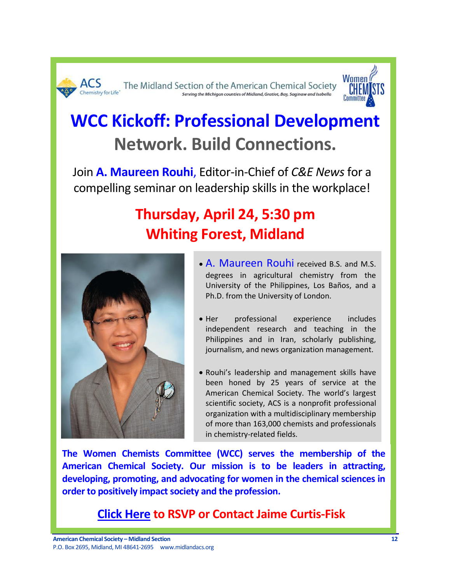



# **WCC Kickoff: Professional Development Network. Build Connections.**

Join **A. Maureen Rouhi**, Editor-in-Chief of *C&E News* for a compelling seminar on leadership skills in the workplace!

## **Thursday, April 24, 5:30 pm Whiting Forest, Midland**



- A. Maureen Rouhi received B.S. and M.S. degrees in agricultural chemistry from the University of the Philippines, Los Baños, and a Ph.D. from the University of London.
- Her professional experience includes independent research and teaching in the Philippines and in Iran, scholarly publishing, journalism, and news organization management.
- Rouhi's leadership and management skills have been honed by 25 years of service at the American Chemical Society. The world's largest scientific society, ACS is a nonprofit professional organization with a multidisciplinary membership of more than 163,000 chemists and professionals in chemistry-related fields.

**The Women Chemists Committee (WCC) serves the membership of the American Chemical Society. Our mission is to be leaders in attracting, developing, promoting, and advocating for women in the chemical sciences in order to positively impact society and the profession.**

**[Click Here](mailto:MidlandWCC@gmail.com) to RSVP or Contact Jaime Curtis-Fisk**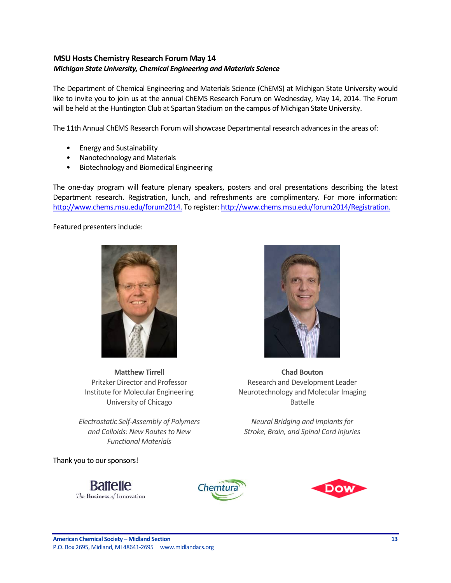## <span id="page-12-0"></span>**MSU Hosts Chemistry Research Forum May 14** *Michigan State University, Chemical Engineering and Materials Science*

The Department of Chemical Engineering and Materials Science (ChEMS) at Michigan State University would like to invite you to join us at the annual ChEMS Research Forum on Wednesday, May 14, 2014. The Forum will be held at the Huntington Club at Spartan Stadium on the campus of Michigan State University.

The 11th Annual ChEMS Research Forum will showcase Departmental research advances in the areas of:

- Energy and Sustainability
- Nanotechnology and Materials
- Biotechnology and Biomedical Engineering

The one-day program will feature plenary speakers, posters and oral presentations describing the latest Department research. Registration, lunch, and refreshments are complimentary. For more information: [http://www.chems.msu.edu/forum2014.](http://www.chems.msu.edu/forum2014) To register[: http://www.chems.msu.edu/forum2014/Registration.](http://www.chems.msu.edu/forum2014/Registration)

Featured presenters include:



**Matthew Tirrell** Pritzker Director and Professor Institute for Molecular Engineering University of Chicago

*Electrostatic Self-Assembly of Polymers and Colloids: New Routes to New Functional Materials*

Thank you to our sponsors!

**Battelle** The Business of Innovation







**Chad Bouton** Research and Development Leader Neurotechnology and Molecular Imaging Battelle

*Neural Bridging and Implants for Stroke, Brain, and Spinal Cord Injuries*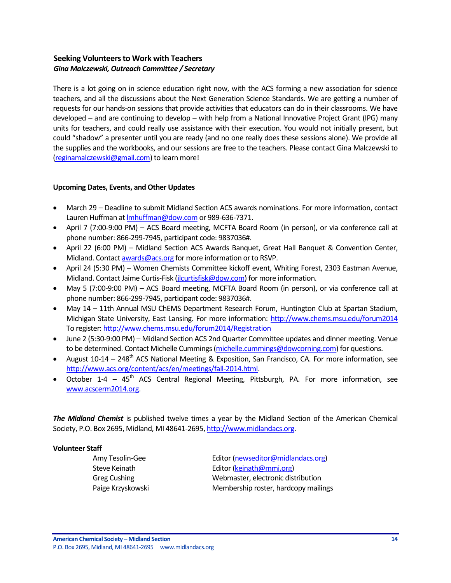## <span id="page-13-0"></span>**Seeking Volunteers to Work with Teachers** *Gina Malczewski, Outreach Committee / Secretary*

There is a lot going on in science education right now, with the ACS forming a new association for science teachers, and all the discussions about the Next Generation Science Standards. We are getting a number of requests for our hands-on sessions that provide activities that educators can do in their classrooms. We have developed – and are continuing to develop – with help from a National Innovative Project Grant (IPG) many units for teachers, and could really use assistance with their execution. You would not initially present, but could "shadow" a presenter until you are ready (and no one really does these sessions alone). We provide all the supplies and the workbooks, and our sessions are free to the teachers. Please contact Gina Malczewski to [\(reginamalczewski@gmail.com\)](mailto:reginamalczewski@gmail.com) to learn more!

#### <span id="page-13-1"></span>**Upcoming Dates, Events, and Other Updates**

- March 29 Deadline to submit Midland Section ACS awards nominations. For more information, contact Lauren Huffman at Imhuffman@dow.com or 989-636-7371.
- April 7 (7:00-9:00 PM) ACS Board meeting, MCFTA Board Room (in person), or via conference call at phone number: 866-299-7945, participant code: 9837036#.
- April 22 (6:00 PM) Midland Section ACS Awards Banquet, Great Hall Banquet & Convention Center, Midland. Contac[t awards@acs.org](mailto:awards@acs.org) for more information or to RSVP.
- April 24 (5:30 PM) Women Chemists Committee kickoff event, Whiting Forest, 2303 Eastman Avenue, Midland. Contact Jaime Curtis-Fisk [\(jlcurtisfisk@dow.com\)](mailto:jlcurtisfisk@dow.com) for more information.
- May 5 (7:00-9:00 PM) ACS Board meeting, MCFTA Board Room (in person), or via conference call at phone number: 866-299-7945, participant code: 9837036#.
- May 14 11th Annual MSU ChEMS Department Research Forum, Huntington Club at Spartan Stadium, Michigan State University, East Lansing. For more information:<http://www.chems.msu.edu/forum2014> To register[: http://www.chems.msu.edu/forum2014/Registration](http://www.chems.msu.edu/forum2014/Registration)
- June 2 (5:30-9:00 PM) Midland Section ACS 2nd Quarter Committee updates and dinner meeting. Venue to be determined. Contact Michelle Cummings [\(michelle.cummings@dowcorning.com\)](mailto:michelle.cummings@dowcorning.com) for questions.
- August  $10-14 248$ <sup>th</sup> ACS National Meeting & Exposition, San Francisco, CA. For more information, see [http://www.acs.org/content/acs/en/meetings/fall-2014.html.](http://www.acs.org/content/acs/en/meetings/fall-2014.html)
- October 1-4 45<sup>th</sup> ACS Central Regional Meeting, Pittsburgh, PA. For more information, see [www.acscerm2014.org.](http://www.acscerm2014.org/)

*The Midland Chemist* is published twelve times a year by the Midland Section of the American Chemical Society, P.O. Box 2695, Midland, MI 48641-2695[, http://www.midlandacs.org.](http://www.midlandacs.org/)

#### **Volunteer Staff**

Amy Tesolin-Gee Editor [\(newseditor@midlandacs.org\)](mailto:newseditor@midlandacs.org) Steve Keinath **Editor** [\(keinath@mmi.org\)](mailto:keinath@mmi.org) Greg Cushing Webmaster, electronic distribution Paige Krzyskowski Membership roster, hardcopy mailings